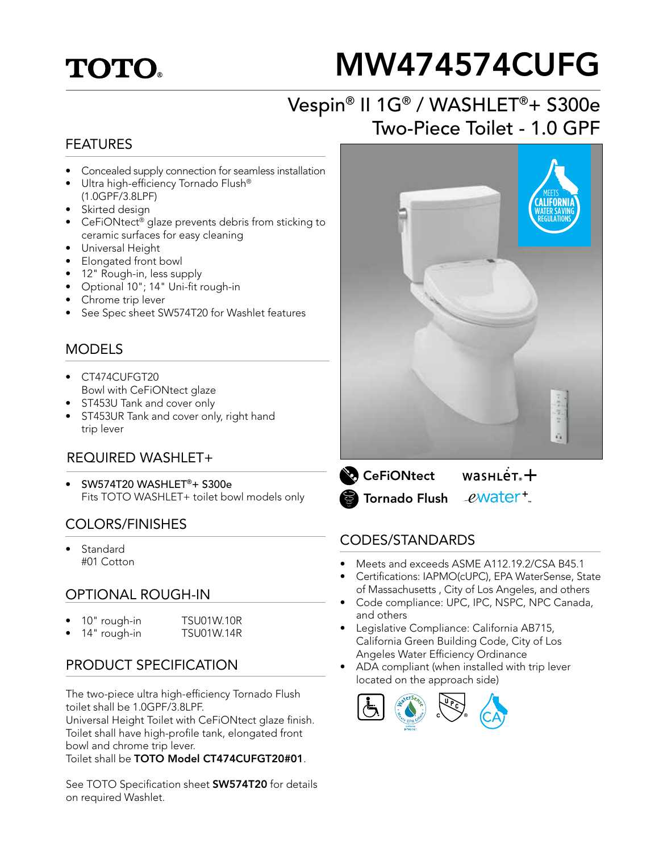## **TOTO.**

# MW474574CUFG

## Vespin® II 1G® / WASHLET®+ S300e Two-Piece Toilet - 1.0 GPF

#### FEATURES

- Concealed supply connection for seamless installation
- Ultra high-efficiency Tornado Flush® (1.0GPF/3.8LPF)
- Skirted design
- CeFiONtect® glaze prevents debris from sticking to ceramic surfaces for easy cleaning
- Universal Height
- Elongated front bowl
- 12" Rough-in, less supply
- Optional 10"; 14" Uni-fit rough-in
- Chrome trip lever
- See Spec sheet SW574T20 for Washlet features

#### MODELS

- CT474CUFGT20 Bowl with CeFiONtect glaze
- ST453U Tank and cover only
- ST453UR Tank and cover only, right hand trip lever

#### REQUIRED WASHI FT+

• SW574T20 WASHLET®+ S300e Fits TOTO WASHLET+ toilet bowl models only

#### COLORS/FINISHES

**Standard** #01 Cotton

#### OPTIONAL ROUGH-IN

| $\bullet$ | 10" rough-in | <b>TSU01W.10R</b> |
|-----------|--------------|-------------------|
| $\bullet$ | 14" rough-in | <b>TSU01W.14R</b> |

#### PRODUCT SPECIFICATION

The two-piece ultra high-efficiency Tornado Flush toilet shall be 1.0GPF/3.8LPF.

Universal Height Toilet with CeFiONtect glaze finish. Toilet shall have high-profile tank, elongated front bowl and chrome trip lever.

Toilet shall be TOTO Model CT474CUFGT20#01.

See TOTO Specification sheet **SW574T20** for details on required Washlet.



 $wasnLér +$ **CeFiONtect** Tornado Flush *e***water**<sup>+</sup>

#### CODES/STANDARDS

- Meets and exceeds ASME A112.19.2/CSA B45.1
- Certifications: IAPMO(cUPC), EPA WaterSense, State of Massachusetts , City of Los Angeles, and others
- Code compliance: UPC, IPC, NSPC, NPC Canada, and others
- Legislative Compliance: California AB715, California Green Building Code, City of Los Angeles Water Efficiency Ordinance
- ADA compliant (when installed with trip lever located on the approach side)